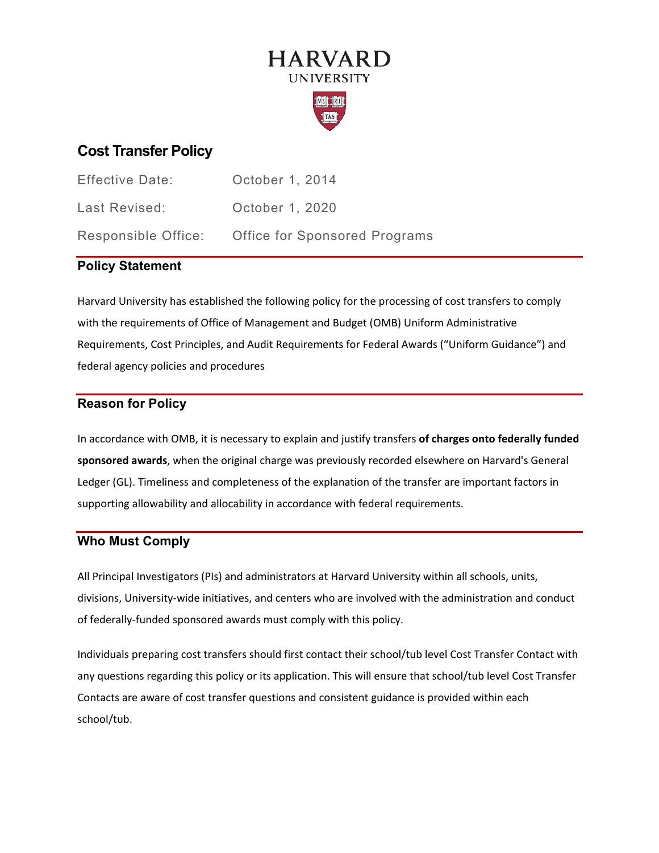# **HARVARD UNIVERSITY**



# **Cost Transfer Policy**

| <b>Effective Date:</b> | October 1, 2014                      |
|------------------------|--------------------------------------|
| Last Revised:          | October 1, 2020                      |
| Responsible Office:    | <b>Office for Sponsored Programs</b> |

## **Policy Statement**

Harvard University has established the following policy for the processing of cost transfers to comply with the requirements of Office of Management and Budget (OMB) Uniform Administrative Requirements, Cost Principles, and Audit Requirements for Federal Awards ("Uniform Guidance") and federal agency policies and procedures

## **Reason for Policy**

In accordance with OMB, it is necessary to explain and justify transfers **of charges onto federally funded sponsored awards**, when the original charge was previously recorded elsewhere on Harvard's General Ledger (GL). Timeliness and completeness of the explanation of the transfer are important factors in supporting allowability and allocability in accordance with federal requirements.

## **Who Must Comply**

All Principal Investigators (PIs) and administrators at Harvard University within all schools, units, divisions, University-wide initiatives, and centers who are involved with the administration and conduct of federally-funded sponsored awards must comply with this policy.

Individuals preparing cost transfers should first contact their school/tub level Cost Transfer Contact with any questions regarding this policy or its application. This will ensure that school/tub level Cost Transfer Contacts are aware of cost transfer questions and consistent guidance is provided within each school/tub.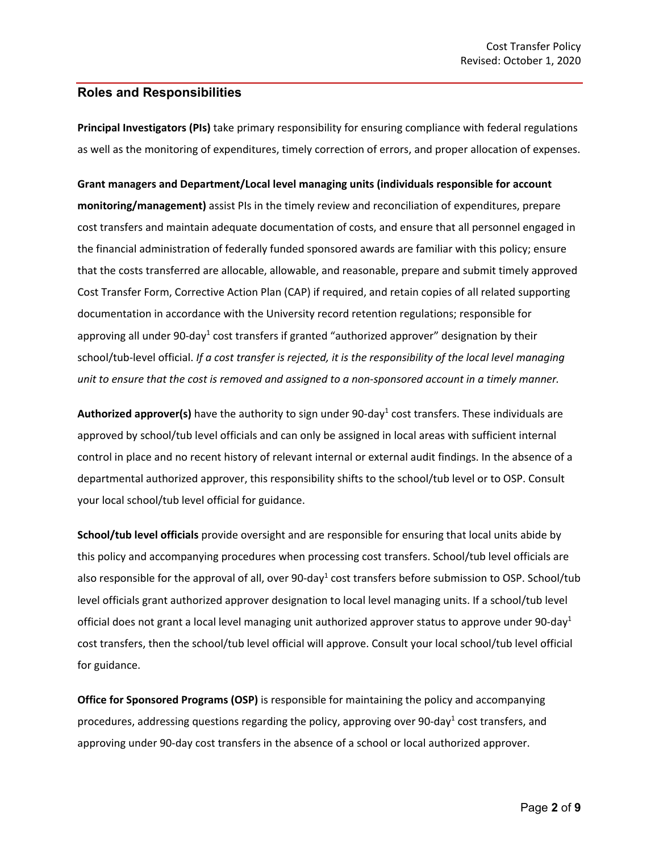#### **Roles and Responsibilities**

**Principal Investigators (PIs)** take primary responsibility for ensuring compliance with federal regulations as well as the monitoring of expenditures, timely correction of errors, and proper allocation of expenses.

**Grant managers and Department/Local level managing units (individuals responsible for account monitoring/management)** assist PIs in the timely review and reconciliation of expenditures, prepare cost transfers and maintain adequate documentation of costs, and ensure that all personnel engaged in the financial administration of federally funded sponsored awards are familiar with this policy; ensure that the costs transferred are allocable, allowable, and reasonable, prepare and submit timely approved Cost Transfer Form, Corrective Action Plan (CAP) if required, and retain copies of all related supporting documentation in accordance with the University record retention regulations; responsible for approving all under 90-day<sup>1</sup> cost transfers if granted "authorized approver" designation by their school/tub-level official. *If a cost transfer is rejected, it is the responsibility of the local level managing unit to ensure that the cost is removed and assigned to a non-sponsored account in a timely manner.*

Authorized approver(s) have the authority to sign under 90-day<sup>1</sup> cost transfers. These individuals are approved by school/tub level officials and can only be assigned in local areas with sufficient internal control in place and no recent history of relevant internal or external audit findings. In the absence of a departmental authorized approver, this responsibility shifts to the school/tub level or to OSP. Consult your local school/tub level official for guidance.

**School/tub level officials** provide oversight and are responsible for ensuring that local units abide by this policy and accompanying procedures when processing cost transfers. School/tub level officials are also responsible for the approval of all, over 90-day<sup>1</sup> cost transfers before submission to OSP. School/tub level officials grant authorized approver designation to local level managing units. If a school/tub level official does not grant a local level managing unit authorized approver status to approve under 90-day<sup>1</sup> cost transfers, then the school/tub level official will approve. Consult your local school/tub level official for guidance.

**Office for Sponsored Programs (OSP)** is responsible for maintaining the policy and accompanying procedures, addressing questions regarding the policy, approving over 90-day<sup>1</sup> cost transfers, and approving under 90-day cost transfers in the absence of a school or local authorized approver.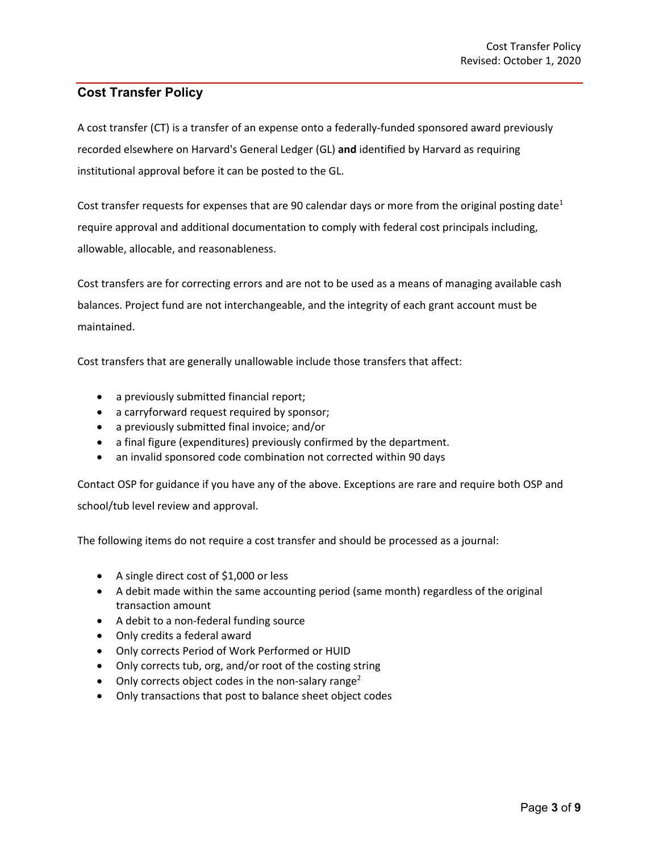## **Cost Transfer Policy**

A cost transfer (CT) is a transfer of an expense onto a federally-funded sponsored award previously recorded elsewhere on Harvard's General Ledger (GL) **and** identified by Harvard as requiring institutional approval before it can be posted to the GL.

Cost transfer requests for expenses that are 90 calendar days or more from the original posting date<sup>1</sup> require approval and additional documentation to comply with federal cost principals including, allowable, allocable, and reasonableness.

Cost transfers are for correcting errors and are not to be used as a means of managing available cash balances. Project fund are not interchangeable, and the integrity of each grant account must be maintained.

Cost transfers that are generally unallowable include those transfers that affect:

- a previously submitted financial report;
- a carryforward request required by sponsor;
- a previously submitted final invoice; and/or
- a final figure (expenditures) previously confirmed by the department.
- an invalid sponsored code combination not corrected within 90 days

Contact OSP for guidance if you have any of the above. Exceptions are rare and require both OSP and school/tub level review and approval.

The following items do not require a cost transfer and should be processed as a journal:

- A single direct cost of \$1,000 or less
- A debit made within the same accounting period (same month) regardless of the original transaction amount
- A debit to a non-federal funding source
- Only credits a federal award
- Only corrects Period of Work Performed or HUID
- Only corrects tub, org, and/or root of the costing string
- Only corrects object codes in the non-salary range<sup>2</sup>
- Only transactions that post to balance sheet object codes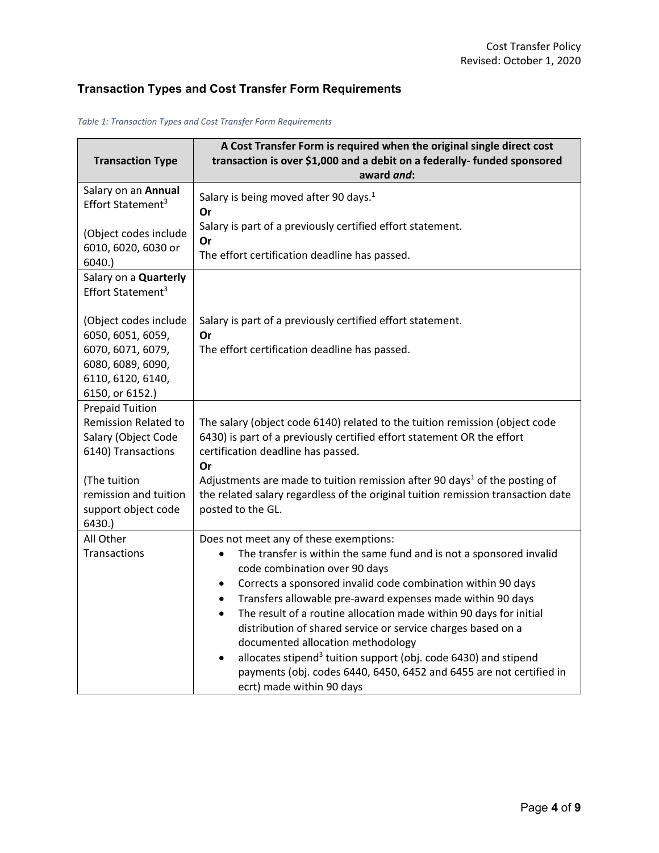# **Transaction Types and Cost Transfer Form Requirements**

| <b>Transaction Type</b>                                                                            | A Cost Transfer Form is required when the original single direct cost<br>transaction is over \$1,000 and a debit on a federally- funded sponsored<br>award and:                                                                                                                                                                                                                                                                                                                                                                                                                                                                                                                                             |
|----------------------------------------------------------------------------------------------------|-------------------------------------------------------------------------------------------------------------------------------------------------------------------------------------------------------------------------------------------------------------------------------------------------------------------------------------------------------------------------------------------------------------------------------------------------------------------------------------------------------------------------------------------------------------------------------------------------------------------------------------------------------------------------------------------------------------|
| Salary on an Annual<br>Effort Statement <sup>3</sup>                                               | Salary is being moved after 90 days. <sup>1</sup><br>Or                                                                                                                                                                                                                                                                                                                                                                                                                                                                                                                                                                                                                                                     |
| (Object codes include<br>6010, 6020, 6030 or<br>6040.                                              | Salary is part of a previously certified effort statement.<br>Or<br>The effort certification deadline has passed.                                                                                                                                                                                                                                                                                                                                                                                                                                                                                                                                                                                           |
| Salary on a Quarterly<br>Effort Statement <sup>3</sup>                                             |                                                                                                                                                                                                                                                                                                                                                                                                                                                                                                                                                                                                                                                                                                             |
| (Object codes include<br>6050, 6051, 6059,                                                         | Salary is part of a previously certified effort statement.<br>Or                                                                                                                                                                                                                                                                                                                                                                                                                                                                                                                                                                                                                                            |
| 6070, 6071, 6079,<br>6080, 6089, 6090,<br>6110, 6120, 6140,<br>6150, or 6152.)                     | The effort certification deadline has passed.                                                                                                                                                                                                                                                                                                                                                                                                                                                                                                                                                                                                                                                               |
| <b>Prepaid Tuition</b><br><b>Remission Related to</b><br>Salary (Object Code<br>6140) Transactions | The salary (object code 6140) related to the tuition remission (object code<br>6430) is part of a previously certified effort statement OR the effort<br>certification deadline has passed.<br>Or                                                                                                                                                                                                                                                                                                                                                                                                                                                                                                           |
| (The tuition<br>remission and tuition<br>support object code<br>6430.                              | Adjustments are made to tuition remission after 90 days <sup>1</sup> of the posting of<br>the related salary regardless of the original tuition remission transaction date<br>posted to the GL.                                                                                                                                                                                                                                                                                                                                                                                                                                                                                                             |
| All Other<br>Transactions                                                                          | Does not meet any of these exemptions:<br>The transfer is within the same fund and is not a sponsored invalid<br>$\bullet$<br>code combination over 90 days<br>Corrects a sponsored invalid code combination within 90 days<br>$\bullet$<br>Transfers allowable pre-award expenses made within 90 days<br>$\bullet$<br>The result of a routine allocation made within 90 days for initial<br>$\bullet$<br>distribution of shared service or service charges based on a<br>documented allocation methodology<br>allocates stipend <sup>3</sup> tuition support (obj. code 6430) and stipend<br>$\bullet$<br>payments (obj. codes 6440, 6450, 6452 and 6455 are not certified in<br>ecrt) made within 90 days |

*Table 1: Transaction Types and Cost Transfer Form Requirements*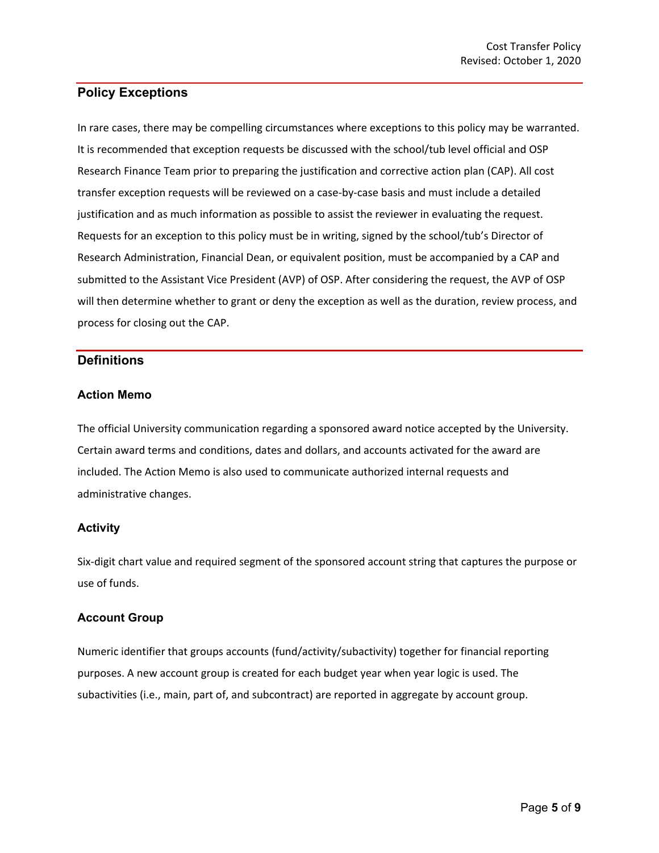## **Policy Exceptions**

In rare cases, there may be compelling circumstances where exceptions to this policy may be warranted. It is recommended that exception requests be discussed with the school/tub level official and OSP Research Finance Team prior to preparing the justification and corrective action plan (CAP). All cost transfer exception requests will be reviewed on a case-by-case basis and must include a detailed justification and as much information as possible to assist the reviewer in evaluating the request. Requests for an exception to this policy must be in writing, signed by the school/tub's Director of Research Administration, Financial Dean, or equivalent position, must be accompanied by a CAP and submitted to the Assistant Vice President (AVP) of OSP. After considering the request, the AVP of OSP will then determine whether to grant or deny the exception as well as the duration, review process, and process for closing out the CAP.

### **Definitions**

#### **Action Memo**

The official University communication regarding a sponsored award notice accepted by the University. Certain award terms and conditions, dates and dollars, and accounts activated for the award are included. The Action Memo is also used to communicate authorized internal requests and administrative changes.

#### **Activity**

Six-digit chart value and required segment of the sponsored account string that captures the purpose or use of funds.

#### **Account Group**

Numeric identifier that groups accounts (fund/activity/subactivity) together for financial reporting purposes. A new account group is created for each budget year when year logic is used. The subactivities (i.e., main, part of, and subcontract) are reported in aggregate by account group.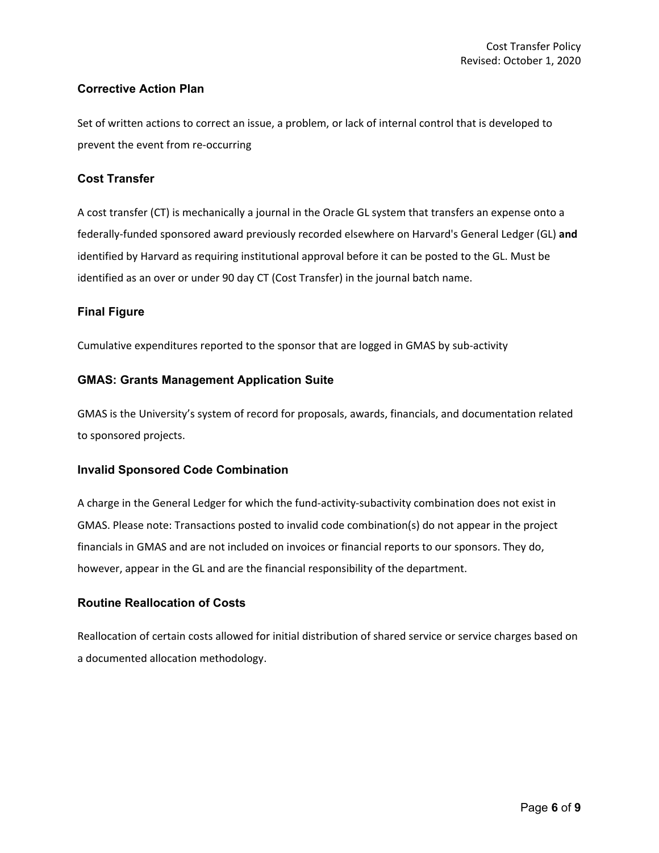#### **Corrective Action Plan**

Set of written actions to correct an issue, a problem, or lack of internal control that is developed to prevent the event from re-occurring

#### **Cost Transfer**

A cost transfer (CT) is mechanically a journal in the Oracle GL system that transfers an expense onto a federally-funded sponsored award previously recorded elsewhere on Harvard's General Ledger (GL) **and** identified by Harvard as requiring institutional approval before it can be posted to the GL. Must be identified as an over or under 90 day CT (Cost Transfer) in the journal batch name.

#### **Final Figure**

Cumulative expenditures reported to the sponsor that are logged in GMAS by sub-activity

#### **GMAS: Grants Management Application Suite**

GMAS is the University's system of record for proposals, awards, financials, and documentation related to sponsored projects.

#### **Invalid Sponsored Code Combination**

A charge in the General Ledger for which the fund-activity-subactivity combination does not exist in GMAS. Please note: Transactions posted to invalid code combination(s) do not appear in the project financials in GMAS and are not included on invoices or financial reports to our sponsors. They do, however, appear in the GL and are the financial responsibility of the department.

#### **Routine Reallocation of Costs**

Reallocation of certain costs allowed for initial distribution of shared service or service charges based on a documented allocation methodology.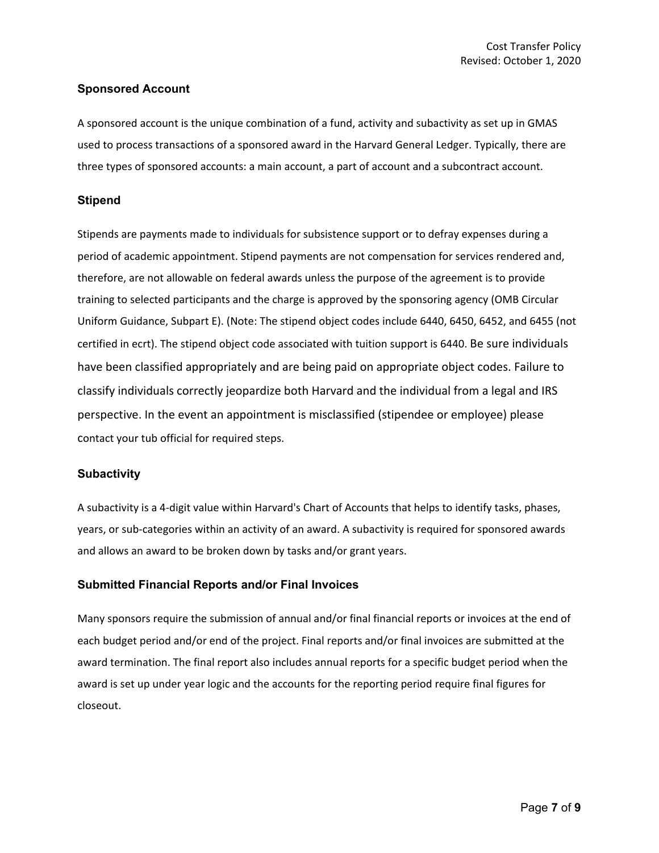#### **Sponsored Account**

A sponsored account is the unique combination of a fund, activity and subactivity as set up in GMAS used to process transactions of a sponsored award in the Harvard General Ledger. Typically, there are three types of sponsored accounts: a main account, a part of account and a subcontract account.

#### **Stipend**

Stipends are payments made to individuals for subsistence support or to defray expenses during a period of academic appointment. Stipend payments are not compensation for services rendered and, therefore, are not allowable on federal awards unless the purpose of the agreement is to provide training to selected participants and the charge is approved by the sponsoring agency (OMB Circular Uniform Guidance, Subpart E). (Note: The stipend object codes include 6440, 6450, 6452, and 6455 (not certified in ecrt). The stipend object code associated with tuition support is 6440. Be sure individuals have been classified appropriately and are being paid on appropriate object codes. Failure to classify individuals correctly jeopardize both Harvard and the individual from a legal and IRS perspective. In the event an appointment is misclassified (stipendee or employee) please contact your tub official for required steps.

#### **Subactivity**

A subactivity is a 4-digit value within Harvard's Chart of Accounts that helps to identify tasks, phases, years, or sub-categories within an activity of an award. A subactivity is required for sponsored awards and allows an award to be broken down by tasks and/or grant years.

#### **Submitted Financial Reports and/or Final Invoices**

Many sponsors require the submission of annual and/or final financial reports or invoices at the end of each budget period and/or end of the project. Final reports and/or final invoices are submitted at the award termination. The final report also includes annual reports for a specific budget period when the award is set up under year logic and the accounts for the reporting period require final figures for closeout.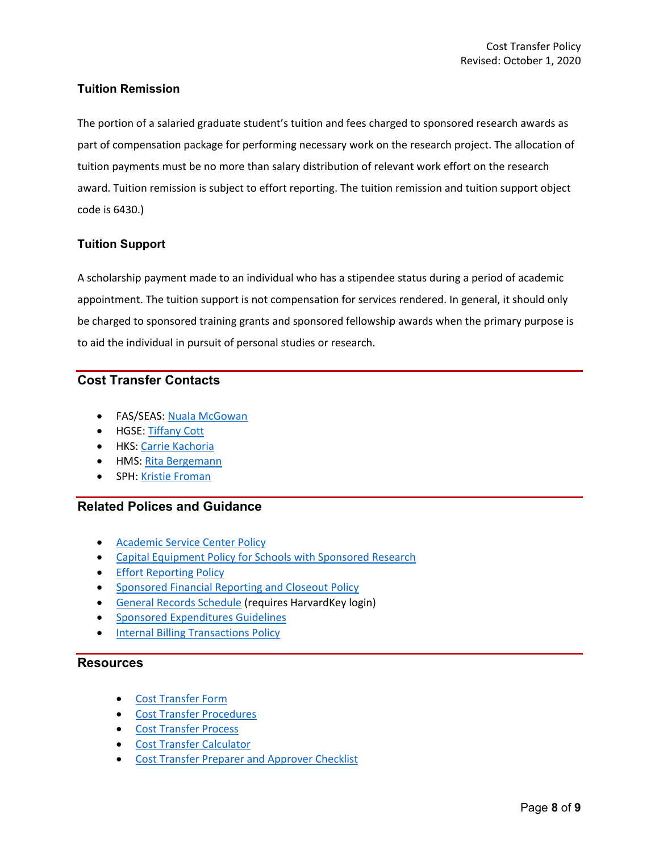#### **Tuition Remission**

The portion of a salaried graduate student's tuition and fees charged to sponsored research awards as part of compensation package for performing necessary work on the research project. The allocation of tuition payments must be no more than salary distribution of relevant work effort on the research award. Tuition remission is subject to effort reporting. The tuition remission and tuition support object code is 6430.)

#### **Tuition Support**

A scholarship payment made to an individual who has a stipendee status during a period of academic appointment. The tuition support is not compensation for services rendered. In general, it should only be charged to sponsored training grants and sponsored fellowship awards when the primary purpose is to aid the individual in pursuit of personal studies or research.

## **Cost Transfer Contacts**

- FAS/SEAS: [Nuala McGowan](mailto:nmcgowan@fas.harvard.edu)
- HGSE[: Tiffany Cott](mailto:tiffany_cott@gse.harvard.edu)
- HKS: [Carrie Kachoria](mailto:carrie_kachoria@hks.harvard.edu)
- HMS[: Rita Bergemann](mailto:RITA_BERGEMANN@hms.harvard.edu)
- SPH: [Kristie Froman](mailto:kfroman@hsph.harvard.edu)

#### **Related Polices and Guidance**

- [Academic Service Center Policy](https://osp.finance.harvard.edu/service-centers)
- [Capital Equipment Policy for Schools with Sponsored Research](https://osp.finance.harvard.edu/capital-equipment-policy)
- [Effort Reporting Policy](https://osp.finance.harvard.edu/effort-reporting-policy)
- [Sponsored Financial Reporting and Closeout Policy](https://osp.finance.harvard.edu/sponsored-financial-reporting-and-closeout-policy)
- [General Records Schedule](https://grs.harvard.edu/) (requires HarvardKey login)
- [Sponsored Expenditures Guidelines](https://osp.finance.harvard.edu/sponsored-expenditures-guidelines)
- [Internal Billing Transactions Policy](https://policies.fad.harvard.edu/pages/internal-billing-transactions)

#### **Resources**

- [Cost Transfer Form](https://osp.finance.harvard.edu/files/office-for-sponsored-programs/files/cost_transfer_form_effective_july_2018.pdf)
- [Cost Transfer Procedures](https://osp.finance.harvard.edu/office-for-sponsored-programs/files/cost_transfer_procedures_october_2020.pdf)
- [Cost Transfer Process](https://osp.finance.harvard.edu/cost-transfer-process)
- [Cost Transfer Calculator](https://osp.finance.harvard.edu/files/office-for-sponsored-programs/files/cost_transfer_calculator_september_2019.xlsx)
- [Cost Transfer Preparer and Approver Checklist](https://osp.finance.harvard.edu/files/office-for-sponsored-programs/files/cost_transfer_preparer_and_approver_checklist_august_2020.pdf)